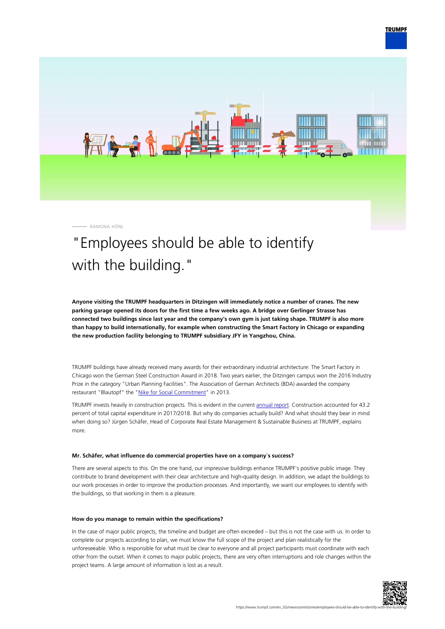

RAMONA HÖNL

# "Employees should be able to identify with the building."

**Anyone visiting the TRUMPF headquarters in Ditzingen will immediately notice a number of cranes. The new parking garage opened its doors for the first time a few weeks ago. A bridge over Gerlinger Strasse has connected two buildings since last year and the company's own gym is just taking shape. TRUMPF is also more than happy to build internationally, for example when constructing the Smart Factory in Chicago or expanding the new production facility belonging to TRUMPF subsidiary JFY in Yangzhou, China.**

TRUMPF buildings have already received many awards for their extraordinary industrial architecture: The Smart Factory in Chicago won the German Steel Construction Award in 2018. Two years earlier, the Ditzingen campus won the 2016 Industry Prize in the category "Urban Planning Facilities". The Association of German Architects (BDA) awarded the company restaurant "Blautopf" the ["Nike for Social Commitment"](https://bda-bawue.de/2013/06/bda-architekturpreis-nike-verliehen/) in 2013.

TRUMPF invests heavily in construction projects. This is evident in the current [annual report](https://www.trumpf.com/en_SG/company/trumpf-group/annual-report/). Construction accounted for 43.2 percent of total capital expenditure in 2017/2018. But why do companies actually build? And what should they bear in mind when doing so? Jürgen Schäfer, Head of Corporate Real Estate Management & Sustainable Business at TRUMPF, explains more.

#### **Mr. Schäfer, what influence do commercial properties have on a company´s success?**

There are several aspects to this. On the one hand, our impressive buildings enhance TRUMPF's positive public image. They contribute to brand development with their clear architecture and high-quality design. In addition, we adapt the buildings to our work processes in order to improve the production processes. And importantly, we want our employees to identify with the buildings, so that working in them is a pleasure.

#### **How do you manage to remain within the specifications?**

In the case of major public projects, the timeline and budget are often exceeded – but this is not the case with us. In order to complete our projects according to plan, we must know the full scope of the project and plan realistically for the unforeseeable. Who is responsible for what must be clear to everyone and all project participants must coordinate with each other from the outset. When it comes to major public projects, there are very often interruptions and role changes within the project teams. A large amount of information is lost as a result.

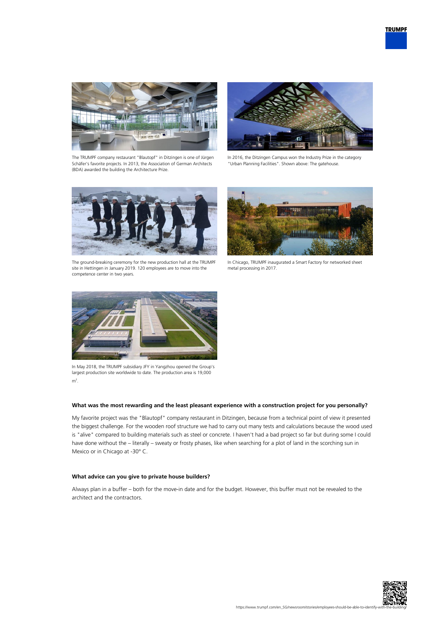



The TRUMPF company restaurant "Blautopf" in Ditzingen is one of Jürgen Schäfer's favorite projects. In 2013, the Association of German Architects (BDA) awarded the building the Architecture Prize.



In 2016, the Ditzingen Campus won the Industry Prize in the category "Urban Planning Facilities". Shown above: The gatehouse.



The ground-breaking ceremony for the new production hall at the TRUMPF site in Hettingen in January 2019. 120 employees are to move into the competence center in two years.



In Chicago, TRUMPF inaugurated a Smart Factory for networked sheet metal processing in 2017.



In May 2018, the TRUMPF subsidiary JFY in Yangzhou opened the Group's largest production site worldwide to date. The production area is 19,000  $m<sup>2</sup>$ .

### **What was the most rewarding and the least pleasant experience with a construction project for you personally?**

My favorite project was the "Blautopf" company restaurant in Ditzingen, because from a technical point of view it presented the biggest challenge. For the wooden roof structure we had to carry out many tests and calculations because the wood used is "alive" compared to building materials such as steel or concrete. I haven't had a bad project so far but during some I could have done without the – literally – sweaty or frosty phases, like when searching for a plot of land in the scorching sun in Mexico or in Chicago at -30° C.

## **What advice can you give to private house builders?**

Always plan in a buffer – both for the move-in date and for the budget. However, this buffer must not be revealed to the architect and the contractors.